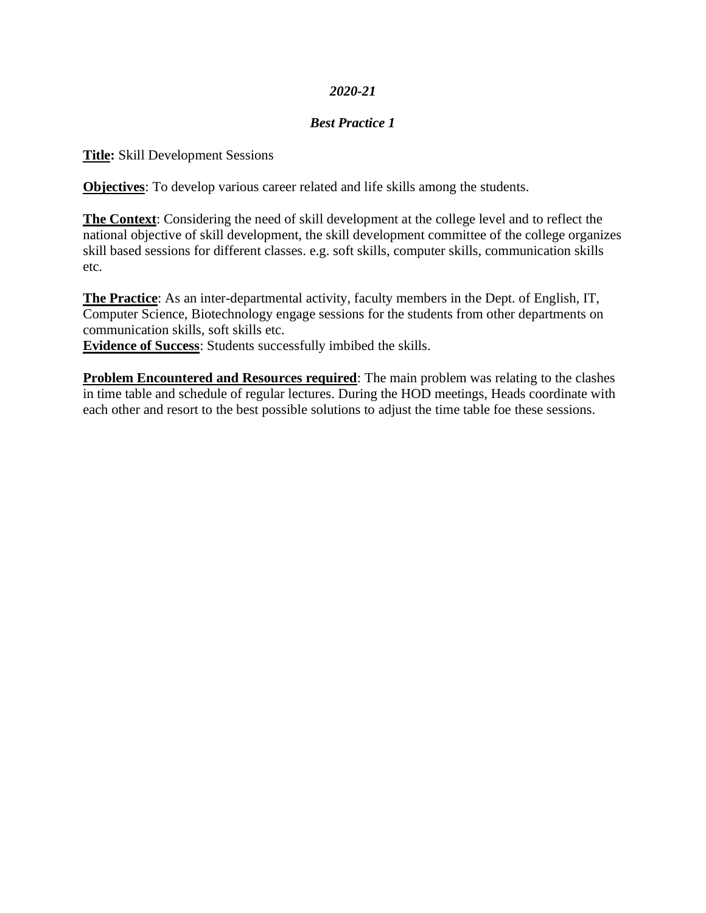## *2020-21*

## *Best Practice 1*

**Title:** Skill Development Sessions

**Objectives**: To develop various career related and life skills among the students.

**The Context**: Considering the need of skill development at the college level and to reflect the national objective of skill development, the skill development committee of the college organizes skill based sessions for different classes. e.g. soft skills, computer skills, communication skills etc.

**The Practice**: As an inter-departmental activity, faculty members in the Dept. of English, IT, Computer Science, Biotechnology engage sessions for the students from other departments on communication skills, soft skills etc.

**Evidence of Success**: Students successfully imbibed the skills.

**Problem Encountered and Resources required**: The main problem was relating to the clashes in time table and schedule of regular lectures. During the HOD meetings, Heads coordinate with each other and resort to the best possible solutions to adjust the time table foe these sessions.